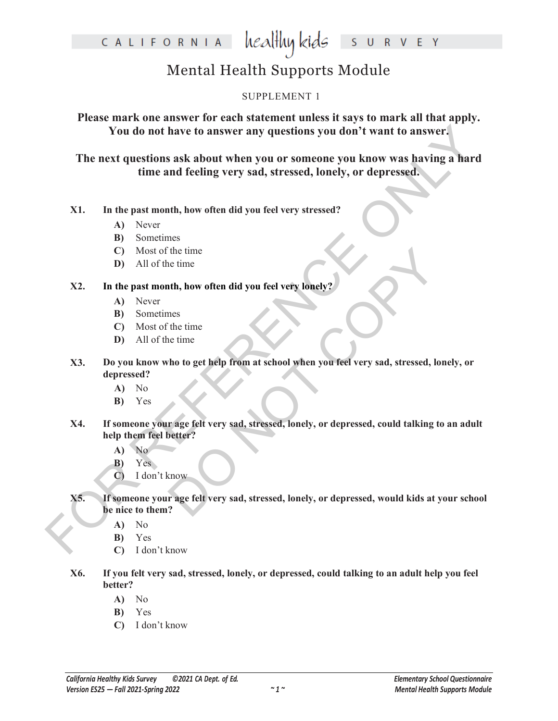### healthy kids CALIFORNIA E Y  $\mathsf{R}$

## Mental Health Supports Module

### SUPPLEMENT 1

**Please mark one answer for each statement unless it says to mark all that apply. You do not have to answer any questions you don't want to answer.**

For exact questions ask about when you or someone you know was having a hard<br>
The next questions ask about when you or someone you know was having a hard<br>
time and feeling very sad, stressed, lonely, or depressed.<br>
X1. In **The next questions ask about when you or someone you know was having a hard time and feeling very sad, stressed, lonely, or depressed.**

### **X1. In the past month, how often did you feel very stressed?**

- **A)** Never
- **B)** Sometimes
- **C)** Most of the time
- **D)** All of the time

### **X2. In the past month, how often did you feel very lonely?**

- **A)** Never
- **B)** Sometimes
- **C)** Most of the time
- **D)** All of the time
- The time<br>
th, how often did you feel very lonely?<br>
These time<br>
the time<br>
tho to get help from at school when you feel very sad, stressed, lone<br>
trage felt very sad, stressed, lonely, or depressed, could talking to the<br>
tra **X3. Do you know who to get help from at school when you feel very sad, stressed, lonely, or depressed?**
	- **A)** No
	- **B)** Yes
- **X4. If someone your age felt very sad, stressed, lonely, or depressed, could talking to an adult help them feel better?**
	- **A)** No
	- **B)** Yes
	- **C)** I don't know
- **X5. If someone your age felt very sad, stressed, lonely, or depressed, would kids at your school be nice to them?**
	- **A)** No
	- **B)** Yes
	- **C)** I don't know
- **X6. If you felt very sad, stressed, lonely, or depressed, could talking to an adult help you feel better?**
	- **A)** No
	- **B)** Yes
	- **C)** I don't know